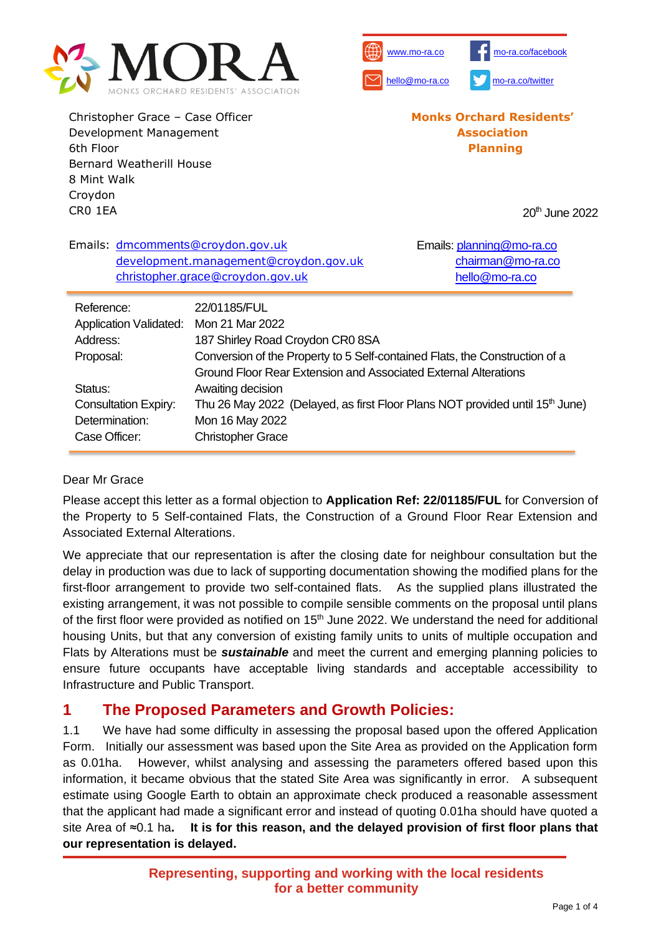



Christopher Grace – Case Officer Development Management 6th Floor Bernard Weatherill House 8 Mint Walk Croydon CR0 1EA

**Monks Orchard Residents' Association Planning**

20th June 2022

| Emails: dmcomments@croydon.gov.uk                                                        | development.management@croydon.gov.uk<br>christopher.grace@croydon.gov.uk                | Emails: planning@mo-ra.co<br>chairman@mo-ra.co<br>hello@mo-ra.co |  |
|------------------------------------------------------------------------------------------|------------------------------------------------------------------------------------------|------------------------------------------------------------------|--|
| Reference:                                                                               | 22/01185/FUL                                                                             |                                                                  |  |
| Application Validated: Mon 21 Mar 2022                                                   |                                                                                          |                                                                  |  |
| Address:                                                                                 | 187 Shirley Road Croydon CR0 8SA                                                         |                                                                  |  |
| Conversion of the Property to 5 Self-contained Flats, the Construction of a<br>Proposal: |                                                                                          |                                                                  |  |
|                                                                                          | Ground Floor Rear Extension and Associated External Alterations                          |                                                                  |  |
| Status:                                                                                  | Awaiting decision                                                                        |                                                                  |  |
| <b>Consultation Expiry:</b>                                                              | Thu 26 May 2022 (Delayed, as first Floor Plans NOT provided until 15 <sup>th</sup> June) |                                                                  |  |
| Determination:                                                                           | Mon 16 May 2022                                                                          |                                                                  |  |
| Case Officer:                                                                            | <b>Christopher Grace</b>                                                                 |                                                                  |  |

### Dear Mr Grace

Please accept this letter as a formal objection to **Application Ref: 22/01185/FUL** for Conversion of the Property to 5 Self-contained Flats, the Construction of a Ground Floor Rear Extension and Associated External Alterations.

We appreciate that our representation is after the closing date for neighbour consultation but the delay in production was due to lack of supporting documentation showing the modified plans for the first-floor arrangement to provide two self-contained flats. As the supplied plans illustrated the existing arrangement, it was not possible to compile sensible comments on the proposal until plans of the first floor were provided as notified on 15<sup>th</sup> June 2022. We understand the need for additional housing Units, but that any conversion of existing family units to units of multiple occupation and Flats by Alterations must be *sustainable* and meet the current and emerging planning policies to ensure future occupants have acceptable living standards and acceptable accessibility to Infrastructure and Public Transport.

## **1 The Proposed Parameters and Growth Policies:**

1.1 We have had some difficulty in assessing the proposal based upon the offered Application Form. Initially our assessment was based upon the Site Area as provided on the Application form as 0.01ha. However, whilst analysing and assessing the parameters offered based upon this information, it became obvious that the stated Site Area was significantly in error. A subsequent estimate using Google Earth to obtain an approximate check produced a reasonable assessment that the applicant had made a significant error and instead of quoting 0.01ha should have quoted a site Area of ≈0.1 ha**. It is for this reason, and the delayed provision of first floor plans that our representation is delayed.**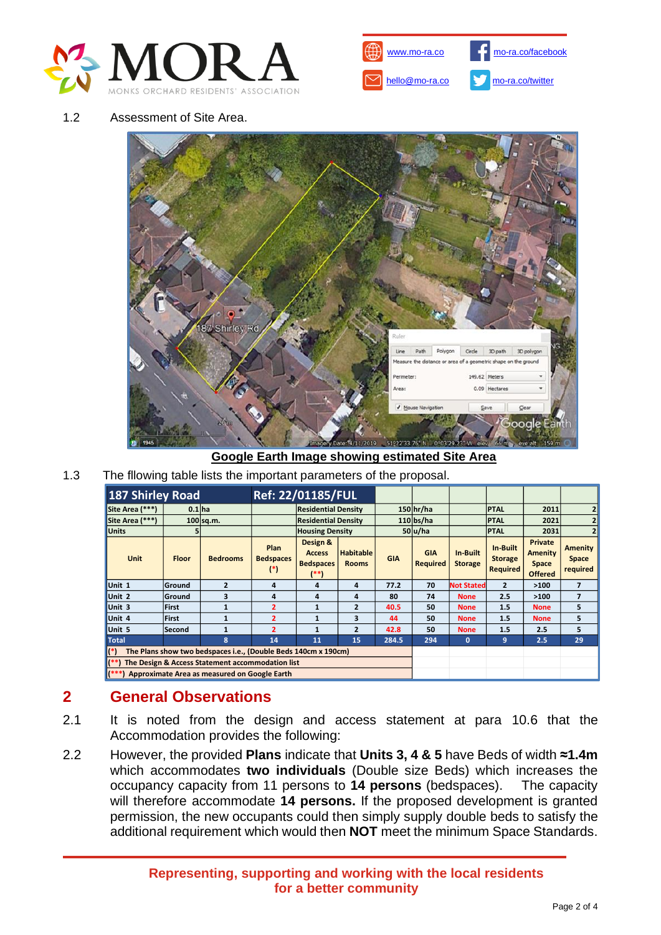



#### 1.2 Assessment of Site Area.



### **Google Earth Image showing estimated Site Area**

1.3 The fllowing table lists the important parameters of the proposal.

| <b>187 Shirley Road</b>                                                              |              |                 | Ref: 22/01185/FUL                 |                                                          |                                  |            |                               |                            |                                               |                                                      |                              |
|--------------------------------------------------------------------------------------|--------------|-----------------|-----------------------------------|----------------------------------------------------------|----------------------------------|------------|-------------------------------|----------------------------|-----------------------------------------------|------------------------------------------------------|------------------------------|
| Site Area (***)                                                                      | $0.1$ ha     |                 |                                   | <b>Residential Density</b>                               |                                  |            | $150$ hr/ha                   |                            | <b>PTAL</b>                                   | 2011                                                 | 2                            |
| Site Area (***)                                                                      |              | 100 sq.m.       |                                   | <b>Residential Density</b>                               |                                  |            | $110$ bs/ha                   |                            | <b>PTAL</b>                                   | 2021                                                 | $\overline{2}$               |
| <b>Units</b>                                                                         | 51           |                 |                                   | <b>Housing Density</b>                                   |                                  |            | 50 u/ha                       |                            | <b>PTAL</b>                                   | 2031                                                 |                              |
| <b>Unit</b>                                                                          | <b>Floor</b> | <b>Bedrooms</b> | Plan<br><b>Bedspaces</b><br>$(*)$ | Design &<br><b>Access</b><br><b>Bedspaces</b><br>$^{**}$ | <b>Habitable</b><br><b>Rooms</b> | <b>GIA</b> | <b>GIA</b><br><b>Required</b> | In-Built<br><b>Storage</b> | In-Built<br><b>Storage</b><br><b>Required</b> | Private<br><b>Amenity</b><br>Space<br><b>Offered</b> | Amenity<br>Space<br>required |
| Unit 1                                                                               | Ground       | $\overline{2}$  | 4                                 | 4                                                        | 4                                | 77.2       | 70                            | <b>Not Stated</b>          | $\overline{2}$                                | >100                                                 | $\overline{\phantom{a}}$     |
| Unit 2                                                                               | Ground       | 3               | 4                                 | 4                                                        | 4                                | 80         | 74                            | <b>None</b>                | 2.5                                           | >100                                                 | $\overline{\mathbf{z}}$      |
| Unit 3                                                                               | <b>First</b> | 1               | $\overline{2}$                    | $\mathbf{1}$                                             | $\overline{2}$                   | 40.5       | 50                            | <b>None</b>                | 1.5                                           | <b>None</b>                                          | 5                            |
| Unit 4                                                                               | <b>First</b> | 1               | $\overline{2}$                    | $\mathbf{1}$                                             | 3                                | 44         | 50                            | <b>None</b>                | 1.5                                           | <b>None</b>                                          | 5                            |
| Unit 5                                                                               | lSecond      | $\mathbf{1}$    | $\overline{2}$                    | $\mathbf{1}$                                             | $\overline{2}$                   | 42.8       | 50                            | <b>None</b>                | 1.5                                           | 2.5                                                  | 5                            |
| <b>Total</b>                                                                         |              | $\mathbf{a}$    | 14                                | 11                                                       | 15                               | 284.5      | 294                           | $\mathbf{0}$               | 9                                             | 2.5                                                  | 29                           |
| The Plans show two bedspaces i.e., (Double Beds 140cm x 190cm)<br>$\mathbf{I}^{(*)}$ |              |                 |                                   |                                                          |                                  |            |                               |                            |                                               |                                                      |                              |
| The Design & Access Statement accommodation list                                     |              |                 |                                   |                                                          |                                  |            |                               |                            |                                               |                                                      |                              |
| Approximate Area as measured on Google Earth                                         |              |                 |                                   |                                                          |                                  |            |                               |                            |                                               |                                                      |                              |

## **2 General Observations**

- 2.1 It is noted from the design and access statement at para 10.6 that the Accommodation provides the following:
- 2.2 However, the provided **Plans** indicate that **Units 3, 4 & 5** have Beds of width **≈1.4m**  which accommodates **two individuals** (Double size Beds) which increases the occupancy capacity from 11 persons to **14 persons** (bedspaces). The capacity will therefore accommodate **14 persons.** If the proposed development is granted permission, the new occupants could then simply supply double beds to satisfy the additional requirement which would then **NOT** meet the minimum Space Standards.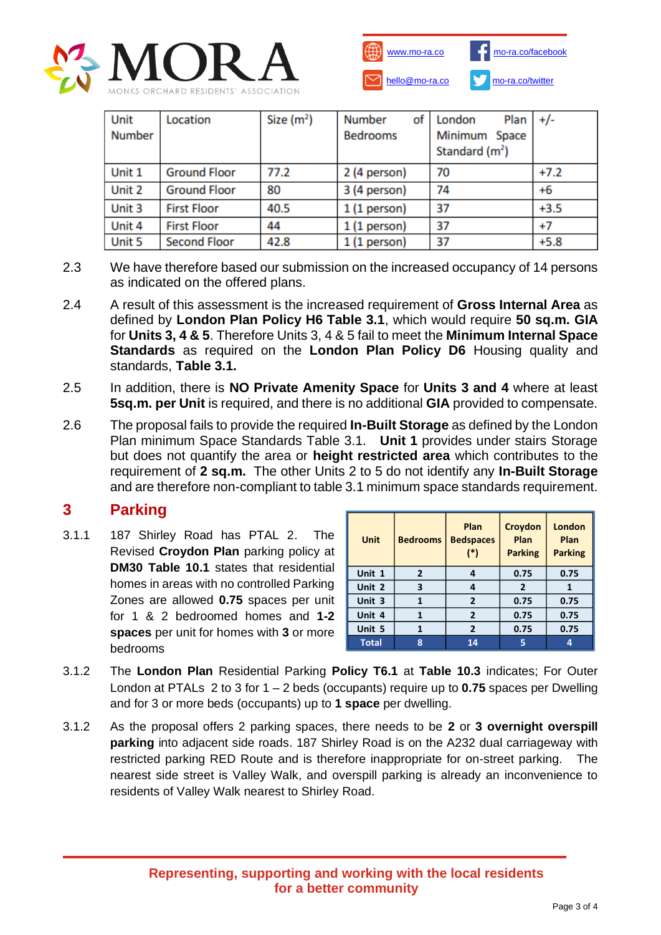



| Unit<br>Number | Location            | Size $(m2)$ | <b>Number</b><br>of <sub>1</sub><br><b>Bedrooms</b> | London<br>Plan<br>Minimum Space<br>Standard $(m2)$ | $+/-$  |
|----------------|---------------------|-------------|-----------------------------------------------------|----------------------------------------------------|--------|
| Unit 1         | <b>Ground Floor</b> | 77.2        | 2 (4 person)                                        | 70                                                 | $+7.2$ |
| Unit 2         | <b>Ground Floor</b> | 80          | 3 (4 person)                                        | 74                                                 | $+6$   |
| Unit 3         | <b>First Floor</b>  | 40.5        | $1(1$ person)                                       | 37                                                 | $+3.5$ |
| Unit 4         | <b>First Floor</b>  | 44          | 1 (1 person)                                        | 37                                                 | $+7$   |
| Unit 5         | <b>Second Floor</b> | 42.8        | 1 (1 person)                                        | 37                                                 | $+5.8$ |

- 2.3 We have therefore based our submission on the increased occupancy of 14 persons as indicated on the offered plans.
- 2.4 A result of this assessment is the increased requirement of **Gross Internal Area** as defined by **London Plan Policy H6 Table 3.1**, which would require **50 sq.m. GIA** for **Units 3, 4 & 5**. Therefore Units 3, 4 & 5 fail to meet the **Minimum Internal Space Standards** as required on the **London Plan Policy D6** Housing quality and standards, **Table 3.1.**
- 2.5 In addition, there is **NO Private Amenity Space** for **Units 3 and 4** where at least **5sq.m. per Unit** is required, and there is no additional **GIA** provided to compensate.
- 2.6 The proposal fails to provide the required **In-Built Storage** as defined by the London Plan minimum Space Standards Table 3.1. **Unit 1** provides under stairs Storage but does not quantify the area or **height restricted area** which contributes to the requirement of **2 sq.m.** The other Units 2 to 5 do not identify any **In-Built Storage** and are therefore non-compliant to table 3.1 minimum space standards requirement.

## **3 Parking**

3.1.1 187 Shirley Road has PTAL 2. The Revised **Croydon Plan** parking policy at **DM30 Table 10.1** states that residential homes in areas with no controlled Parking Zones are allowed **0.75** spaces per unit for 1 & 2 bedroomed homes and **1-2 spaces** per unit for homes with **3** or more bedrooms

| <b>Unit</b>  | <b>Bedrooms</b> | Plan<br><b>Bedspaces</b><br>(*) | Croydon<br>Plan<br><b>Parking</b> | London<br>Plan<br><b>Parking</b> |
|--------------|-----------------|---------------------------------|-----------------------------------|----------------------------------|
| Unit 1       | 2               | 4                               | 0.75                              | 0.75                             |
| Unit 2       | 3               | 4                               | $\overline{2}$                    | 1                                |
| Unit 3       | 1               | $\overline{2}$                  | 0.75                              | 0.75                             |
| Unit 4       | 1               | $\overline{2}$                  | 0.75                              | 0.75                             |
| Unit 5       | 1               | $\overline{2}$                  | 0.75                              | 0.75                             |
| <b>Total</b> | 8               | 14                              | 5                                 | 4                                |

- 3.1.2 The **London Plan** Residential Parking **Policy T6.1** at **Table 10.3** indicates; For Outer London at PTALs 2 to 3 for 1 – 2 beds (occupants) require up to **0.75** spaces per Dwelling and for 3 or more beds (occupants) up to **1 space** per dwelling.
- 3.1.2 As the proposal offers 2 parking spaces, there needs to be **2** or **3 overnight overspill parking** into adjacent side roads. 187 Shirley Road is on the A232 dual carriageway with restricted parking RED Route and is therefore inappropriate for on-street parking. The nearest side street is Valley Walk, and overspill parking is already an inconvenience to residents of Valley Walk nearest to Shirley Road.